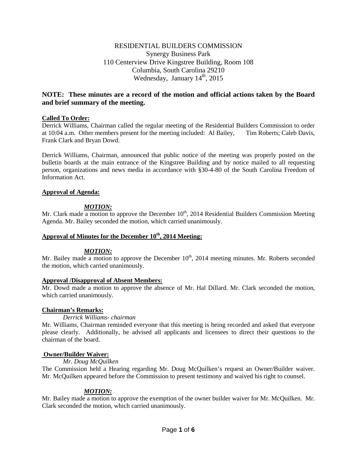# RESIDENTIAL BUILDERS COMMISSION Synergy Business Park 110 Centerview Drive Kingstree Building, Room 108 Columbia, South Carolina 29210 Wednesday, January  $14<sup>th</sup>$ , 2015

# **NOTE: These minutes are a record of the motion and official actions taken by the Board and brief summary of the meeting.**

## **Called To Order:**

Derrick Williams, Chairman called the regular meeting of the Residential Builders Commission to order at 10:04 a.m. Other members present for the meeting included: Al Bailey, Tim Roberts; Caleb Davis, Frank Clark and Bryan Dowd.

Derrick Williams, Chairman, announced that public notice of the meeting was properly posted on the bulletin boards at the main entrance of the Kingstree Building and by notice mailed to all requesting person, organizations and news media in accordance with §30-4-80 of the South Carolina Freedom of Information Act.

## **Approval of Agenda:**

## *MOTION:*

Mr. Clark made a motion to approve the December  $10<sup>th</sup>$ , 2014 Residential Builders Commission Meeting Agenda. Mr. Bailey seconded the motion, which carried unanimously.

## Approval of Minutes for the December  $10^{th}$ , 2014 Meeting:

## *MOTION:*

Mr. Bailey made a motion to approve the December  $10<sup>th</sup>$ , 2014 meeting minutes. Mr. Roberts seconded the motion, which carried unanimously.

## **Approval /Disapproval of Absent Members:**

Mr. Dowd made a motion to approve the absence of Mr. Hal Dillard. Mr. Clark seconded the motion, which carried unanimously.

## **Chairman's Remarks:**

## *Derrick Williams- chairman*

Mr. Williams, Chairman reminded everyone that this meeting is being recorded and asked that everyone please clearly. Additionally, he advised all applicants and licensees to direct their questions to the chairman of the board.

## **Owner/Builder Waiver:**

*Mr. Doug McQuilken*

The Commission held a Hearing regarding Mr. Doug McQuilken's request an Owner/Builder waiver. Mr. McQuilken appeared before the Commission to present testimony and waived his right to counsel.

## *MOTION:*

Mr. Bailey made a motion to approve the exemption of the owner builder waiver for Mr. McQuilken. Mr. Clark seconded the motion, which carried unanimously.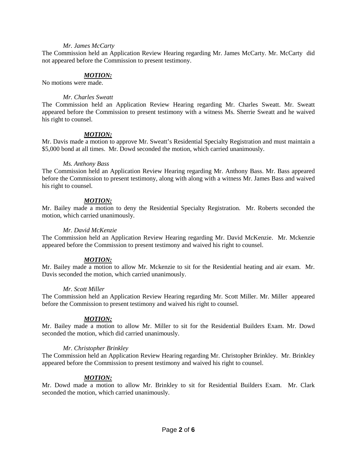### *Mr. James McCarty*

The Commission held an Application Review Hearing regarding Mr. James McCarty. Mr. McCarty did not appeared before the Commission to present testimony.

## *MOTION:*

No motions were made.

### *Mr. Charles Sweatt*

The Commission held an Application Review Hearing regarding Mr. Charles Sweatt. Mr. Sweatt appeared before the Commission to present testimony with a witness Ms. Sherrie Sweatt and he waived his right to counsel.

## *MOTION:*

Mr. Davis made a motion to approve Mr. Sweatt's Residential Specialty Registration and must maintain a \$5,000 bond at all times. Mr. Dowd seconded the motion, which carried unanimously.

#### *Ms. Anthony Bass*

The Commission held an Application Review Hearing regarding Mr. Anthony Bass. Mr. Bass appeared before the Commission to present testimony, along with along with a witness Mr. James Bass and waived his right to counsel.

## *MOTION:*

Mr. Bailey made a motion to deny the Residential Specialty Registration. Mr. Roberts seconded the motion, which carried unanimously.

#### *Mr. David McKenzie*

The Commission held an Application Review Hearing regarding Mr. David McKenzie. Mr. Mckenzie appeared before the Commission to present testimony and waived his right to counsel.

## *MOTION:*

Mr. Bailey made a motion to allow Mr. Mckenzie to sit for the Residential heating and air exam. Mr. Davis seconded the motion, which carried unanimously.

## *Mr. Scott Miller*

The Commission held an Application Review Hearing regarding Mr. Scott Miller. Mr. Miller appeared before the Commission to present testimony and waived his right to counsel.

## *MOTION:*

Mr. Bailey made a motion to allow Mr. Miller to sit for the Residential Builders Exam. Mr. Dowd seconded the motion, which did carried unanimously.

## *Mr. Christopher Brinkley*

The Commission held an Application Review Hearing regarding Mr. Christopher Brinkley. Mr. Brinkley appeared before the Commission to present testimony and waived his right to counsel.

## *MOTION:*

Mr. Dowd made a motion to allow Mr. Brinkley to sit for Residential Builders Exam. Mr. Clark seconded the motion, which carried unanimously.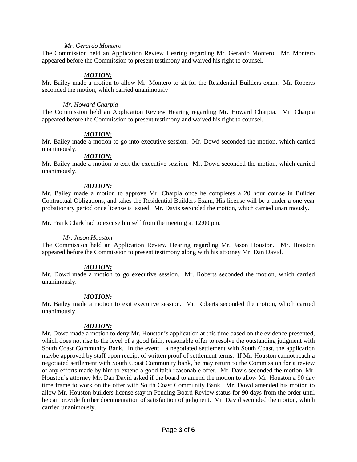#### *Mr. Gerardo Montero*

The Commission held an Application Review Hearing regarding Mr. Gerardo Montero. Mr. Montero appeared before the Commission to present testimony and waived his right to counsel.

## *MOTION:*

Mr. Bailey made a motion to allow Mr. Montero to sit for the Residential Builders exam. Mr. Roberts seconded the motion, which carried unanimously

#### *Mr. Howard Charpia*

The Commission held an Application Review Hearing regarding Mr. Howard Charpia. Mr. Charpia appeared before the Commission to present testimony and waived his right to counsel.

#### *MOTION:*

Mr. Bailey made a motion to go into executive session. Mr. Dowd seconded the motion, which carried unanimously.

## *MOTION:*

Mr. Bailey made a motion to exit the executive session. Mr. Dowd seconded the motion, which carried unanimously.

## *MOTION:*

Mr. Bailey made a motion to approve Mr. Charpia once he completes a 20 hour course in Builder Contractual Obligations, and takes the Residential Builders Exam, His license will be a under a one year probationary period once license is issued. Mr. Davis seconded the motion, which carried unanimously.

Mr. Frank Clark had to excuse himself from the meeting at 12:00 pm.

## *Mr. Jason Houston*

The Commission held an Application Review Hearing regarding Mr. Jason Houston. Mr. Houston appeared before the Commission to present testimony along with his attorney Mr. Dan David.

## *MOTION:*

Mr. Dowd made a motion to go executive session. Mr. Roberts seconded the motion, which carried unanimously.

## *MOTION:*

Mr. Bailey made a motion to exit executive session. Mr. Roberts seconded the motion, which carried unanimously.

## *MOTION:*

Mr. Dowd made a motion to deny Mr. Houston's application at this time based on the evidence presented, which does not rise to the level of a good faith, reasonable offer to resolve the outstanding judgment with South Coast Community Bank. In the event a negotiated settlement with South Coast, the application maybe approved by staff upon receipt of written proof of settlement terms. If Mr. Houston cannot reach a negotiated settlement with South Coast Community bank, he may return to the Commission for a review of any efforts made by him to extend a good faith reasonable offer. Mr. Davis seconded the motion, Mr. Houston's attorney Mr. Dan David asked if the board to amend the motion to allow Mr. Houston a 90 day time frame to work on the offer with South Coast Community Bank. Mr. Dowd amended his motion to allow Mr. Houston builders license stay in Pending Board Review status for 90 days from the order until he can provide further documentation of satisfaction of judgment. Mr. David seconded the motion, which carried unanimously.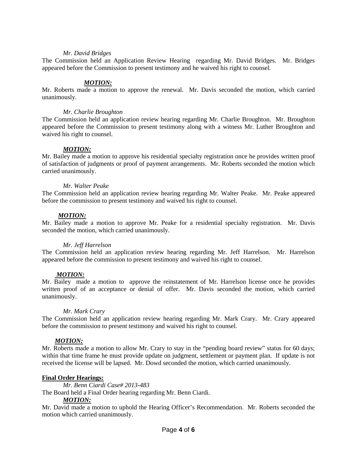### *Mr. David Bridges*

The Commission held an Application Review Hearing regarding Mr. David Bridges. Mr. Bridges appeared before the Commission to present testimony and he waived his right to counsel.

### *MOTION:*

Mr. Roberts made a motion to approve the renewal. Mr. Davis seconded the motion, which carried unanimously.

#### *Mr. Charlie Broughton*

The Commission held an application review hearing regarding Mr. Charlie Broughton. Mr. Broughton appeared before the Commission to present testimony along with a witness Mr. Luther Broughton and waived his right to counsel.

#### *MOTION:*

Mr. Bailey made a motion to approve his residential specialty registration once he provides written proof of satisfaction of judgments or proof of payment arrangements. Mr. Roberts seconded the motion which carried unanimously.

#### *Mr. Walter Peake*

The Commission held an application review hearing regarding Mr. Walter Peake. Mr. Peake appeared before the commission to present testimony and waived his right to counsel.

## *MOTION:*

Mr. Bailey made a motion to approve Mr. Peake for a residential specialty registration. Mr. Davis seconded the motion, which carried unanimously.

#### *Mr. Jeff Harrelson*

The Commission held an application review hearing regarding Mr. Jeff Harrelson. Mr. Harrelson appeared before the commission to present testimony and waived his right to counsel.

## *MOTION:*

Mr. Bailey made a motion to approve the reinstatement of Mr. Harrelson license once he provides written proof of an acceptance or denial of offer. Mr. Davis seconded the motion, which carried unanimously.

#### *Mr. Mark Crary*

The Commission held an application review hearing regarding Mr. Mark Crary. Mr. Crary appeared before the commission to present testimony and waived his right to counsel.

## *MOTION:*

Mr. Roberts made a motion to allow Mr. Crary to stay in the "pending board review" status for 60 days; within that time frame he must provide update on judgment, settlement or payment plan. If update is not received the license will be lapsed. Mr. Dowd seconded the motion, which carried unanimously.

## **Final Order Hearings:**

*Mr. Benn Ciardi Case# 2013-483*

The Board held a Final Order hearing regarding Mr. Benn Ciardi.

#### *MOTION:*

Mr. David made a motion to uphold the Hearing Officer's Recommendation. Mr. Roberts seconded the motion which carried unanimously.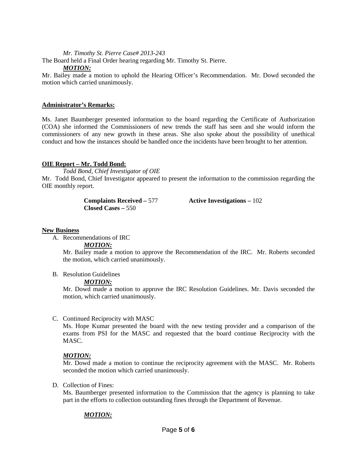*Mr. Timothy St. Pierre Case# 2013-243*

The Board held a Final Order hearing regarding Mr. Timothy St. Pierre.

### *MOTION:*

Mr. Bailey made a motion to uphold the Hearing Officer's Recommendation. Mr. Dowd seconded the motion which carried unanimously.

## **Administrator's Remarks:**

Ms. Janet Baumberger presented information to the board regarding the Certificate of Authorization (COA) she informed the Commissioners of new trends the staff has seen and she would inform the commissioners of any new growth in these areas. She also spoke about the possibility of unethical conduct and how the instances should be handled once the incidents have been brought to her attention.

## **OIE Report – Mr. Todd Bond:**

*Todd Bond, Chief Investigator of OIE*

Mr. Todd Bond, Chief Investigator appeared to present the information to the commission regarding the OIE monthly report.

> **Complaints Received –** 577 **Active Investigations –** 102 **Closed Cases –** 550

## **New Business**

A. Recommendations of IRC

## *MOTION:*

Mr. Bailey made a motion to approve the Recommendation of the IRC. Mr. Roberts seconded the motion, which carried unanimously.

## B. Resolution Guidelines

## *MOTION:*

Mr. Dowd made a motion to approve the IRC Resolution Guidelines. Mr. Davis seconded the motion, which carried unanimously.

## C. Continued Reciprocity with MASC

Ms. Hope Kumar presented the board with the new testing provider and a comparison of the exams from PSI for the MASC and requested that the board continue Reciprocity with the MASC.

## *MOTION:*

Mr. Dowd made a motion to continue the reciprocity agreement with the MASC. Mr. Roberts seconded the motion which carried unanimously.

## D. Collection of Fines:

Ms. Baumberger presented information to the Commission that the agency is planning to take part in the efforts to collection outstanding fines through the Department of Revenue.

## *MOTION:*